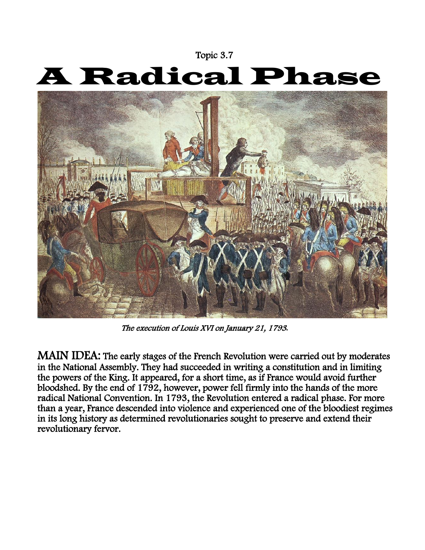## Topic 3.7

## A Radical Phase



The execution of Louis XVI on January 21, 1793*.* 

MAIN IDEA: The early stages of the French Revolution were carried out by moderates in the National Assembly. They had succeeded in writing a constitution and in limiting the powers of the King. It appeared, for a short time, as if France would avoid further bloodshed. By the end of  $1792$ , however, power fell firmly into the hands of the more radical National Convention. In 1793, the Revolution entered a radical phase. For more than a year, France descended into violence and experienced one of the bloodiest regimes in its long history as determined revolutionaries sought to preserve and extend their revolutionary fervor.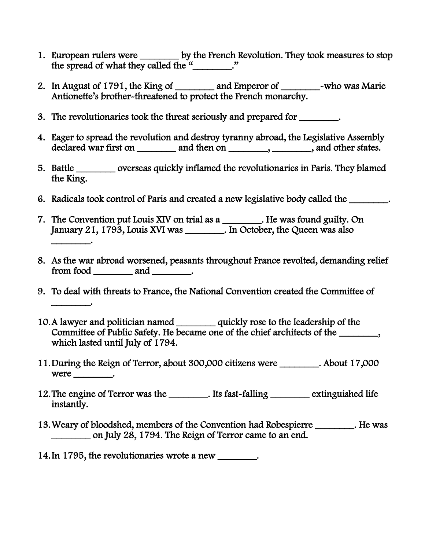- 1. European rulers were \_\_\_\_\_\_\_\_ by the French Revolution. They took measures to stop the spread of what they called the "\_\_\_\_\_\_\_."
- 2. In August of 1791, the King of \_\_\_\_\_\_\_ and Emperor of \_\_\_\_\_\_\_\_\_\_\_\_\_~who was Marie Antionette's brother-threatened to protect the French monarchy.
- 3. The revolutionaries took the threat seriously and prepared for \_\_\_\_\_\_\_\_.
- 4. Eager to spread the revolution and destroy tyranny abroad, the Legislative Assembly declared war first on \_\_\_\_\_\_\_\_\_ and then on \_\_\_\_\_\_\_\_, \_\_\_\_\_\_\_, and other states.
- 5. Battle \_\_\_\_\_\_\_\_ overseas quickly inflamed the revolutionaries in Paris. They blamed the King.
- 6. Radicals took control of Paris and created a new legislative body called the \_\_\_\_\_\_\_\_.
- 7. The Convention put Louis XIV on trial as a \_\_\_\_\_\_\_\_. He was found guilty. On January 21, 1793, Louis XVI was \_\_\_\_\_\_\_\_. In October, the Queen was also \_\_\_\_\_\_\_\_.
- 8. As the war abroad worsened, peasants throughout France revolted, demanding relief from food \_\_\_\_\_\_\_\_ and \_\_\_\_\_\_\_.
- 9. To deal with threats to France, the National Convention created the Committee of \_\_\_\_\_\_\_\_.
- 10.A lawyer and politician named \_\_\_\_\_\_\_\_ quickly rose to the leadership of the Committee of Public Safety. He became one of the chief architects of the \_\_\_\_\_\_\_, which lasted until July of 1794.
- 11.During the Reign of Terror, about 300,000 citizens were \_\_\_\_\_\_\_\_. About 17,000  $were$  \_\_\_\_\_\_\_\_\_.
- 12. The engine of Terror was the \_\_\_\_\_\_\_\_\_. Its fast-falling \_\_\_\_\_\_\_\_\_\_ extinguished life instantly.
- 13.Weary of bloodshed, members of the Convention had Robespierre \_\_\_\_\_\_\_\_. He was on July 28, 1794. The Reign of Terror came to an end.
- 14.In 1795, the revolutionaries wrote a new \_\_\_\_\_\_\_\_.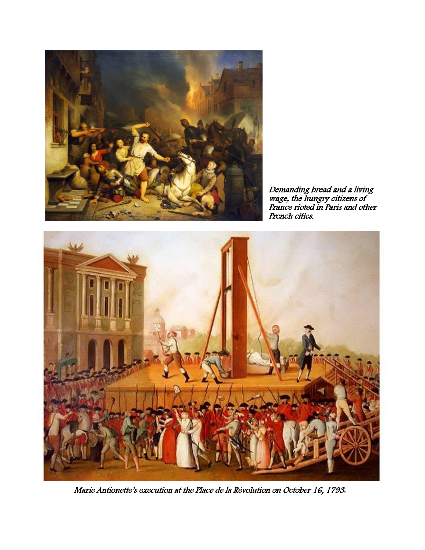

Demanding bread and a living wage, the hungry citizens of France rioted in Paris and other French cities.



Marie Antionette's execution at the Place de la Révolution on October 16, 1793*.*